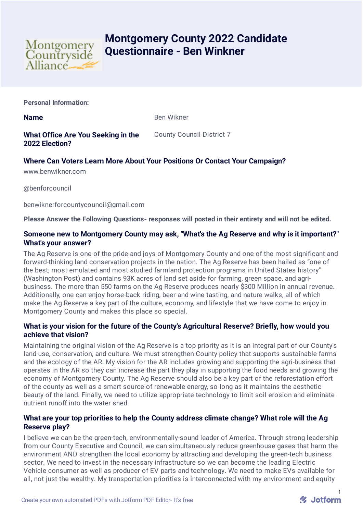

# **Montgomery County 2022 Candidate Questionnaire - Ben Winkner**

**Personal Information:**

**Name** Ben Wikner

**What Office Are You Seeking in the 2022 Election?**

County Council District 7

## **Where Can Voters Learn More About Your Positions Or Contact Your Campaign?**

www.benwikner.com

@benforcouncil

benwiknerforcountycouncil@gmail.com

**Please Answer the Following Questions- responses will posted in their entirety and will not be edited.**

## **Someone new to Montgomery County may ask, "What's the Ag Reserve and why is it important?" What's your answer?**

The Ag Reserve is one of the pride and joys of Montgomery County and one of the most significant and forward-thinking land conservation projects in the nation. The Ag Reserve has been hailed as "one of the best, most emulated and most studied farmland protection programs in United States history" (Washington Post) and contains 93K acres of land set aside for farming, green space, and agribusiness. The more than 550 farms on the Ag Reserve produces nearly \$300 Million in annual revenue. Additionally, one can enjoy horse-back riding, beer and wine tasting, and nature walks, all of which make the Ag Reserve a key part of the culture, economy, and lifestyle that we have come to enjoy in Montgomery County and makes this place so special.

## **What is your vision for the future of the County's Agricultural Reserve? Briefly, how would you achieve that vision?**

Maintaining the original vision of the Ag Reserve is a top priority as it is an integral part of our County's land-use, conservation, and culture. We must strengthen County policy that supports sustainable farms and the ecology of the AR. My vision for the AR includes growing and supporting the agri-business that operates in the AR so they can increase the part they play in supporting the food needs and growing the economy of Montgomery County. The Ag Reserve should also be a key part of the reforestation effort of the county as well as a smart source of renewable energy, so long as it maintains the aesthetic beauty of the land. Finally, we need to utilize appropriate technology to limit soil erosion and eliminate nutrient runoff into the water shed.

## **What are your top priorities to help the County address climate change? What role will the Ag Reserve play?**

I believe we can be the green-tech, environmentally-sound leader of America. Through strong leadership from our County Executive and Council, we can simultaneously reduce greenhouse gases that harm the environment AND strengthen the local economy by attracting and developing the green-tech business sector. We need to invest in the necessary infrastructure so we can become the leading Electric Vehicle consumer as well as producer of EV parts and technology. We need to make EVs available for all, not just the wealthy. My transportation priorities is interconnected with my environment and equity